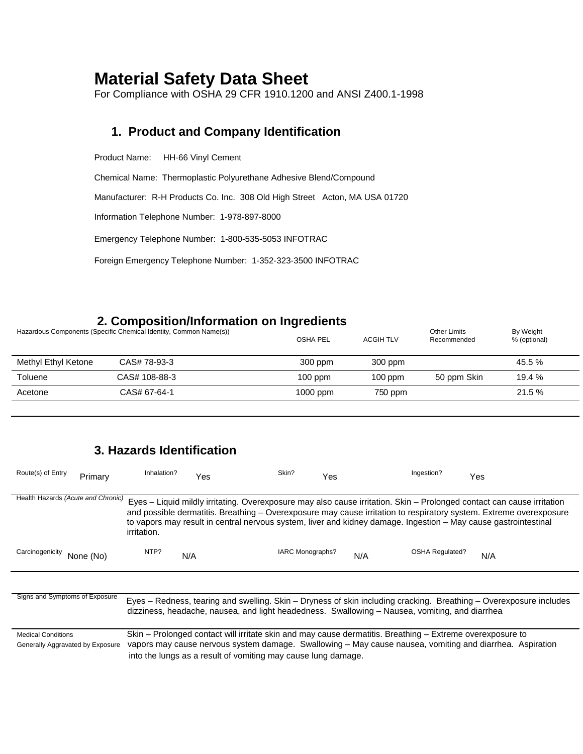# **Material Safety Data Sheet**

For Compliance with OSHA 29 CFR 1910.1200 and ANSI Z400.1-1998

#### **1. Product and Company Identification**

Product Name: HH-66 Vinyl Cement

Chemical Name: Thermoplastic Polyurethane Adhesive Blend/Compound

Manufacturer: R-H Products Co. Inc. 308 Old High Street Acton, MA USA 01720

Information Telephone Number: 1-978-897-8000

Emergency Telephone Number: 1-800-535-5053 INFOTRAC

Foreign Emergency Telephone Number: 1-352-323-3500 INFOTRAC

### **2. Composition/Information on Ingredients**

|                     | Hazardous Components (Specific Chemical Identity, Common Name(s)) | <b>OSHA PEL</b> | <b>ACGIH TLV</b> | <b>Other Limits</b><br>Recommended | By Weight<br>% (optional) |
|---------------------|-------------------------------------------------------------------|-----------------|------------------|------------------------------------|---------------------------|
| Methyl Ethyl Ketone | CAS# 78-93-3                                                      | 300 ppm         | 300 ppm          |                                    | 45.5 %                    |
| Toluene             | CAS# 108-88-3                                                     | $100$ ppm       | $100$ ppm        | 50 ppm Skin                        | 19.4 %                    |
| Acetone             | CAS# 67-64-1                                                      | $1000$ ppm      | 750 ppm          |                                    | $21.5\%$                  |

## **3. Hazards Identification**

| Route(s) of Entry                                             | Primary   | Inhalation? | Yes | Skin?                                                                                                                                                                      | Yes | Ingestion? |                        | Yes                                                                                                                                                                                                                                                                                                                                                             |
|---------------------------------------------------------------|-----------|-------------|-----|----------------------------------------------------------------------------------------------------------------------------------------------------------------------------|-----|------------|------------------------|-----------------------------------------------------------------------------------------------------------------------------------------------------------------------------------------------------------------------------------------------------------------------------------------------------------------------------------------------------------------|
|                                                               |           |             |     |                                                                                                                                                                            |     |            |                        |                                                                                                                                                                                                                                                                                                                                                                 |
| Health Hazards (Acute and Chronic)                            |           | irritation. |     |                                                                                                                                                                            |     |            |                        | Eyes - Liquid mildly irritating. Overexposure may also cause irritation. Skin - Prolonged contact can cause irritation<br>and possible dermatitis. Breathing – Overexposure may cause irritation to respiratory system. Extreme overexposure<br>to vapors may result in central nervous system, liver and kidney damage. Ingestion - May cause gastrointestinal |
| Carcinogenicity                                               | None (No) | NTP?        | N/A | IARC Monographs?                                                                                                                                                           | N/A |            | <b>OSHA Regulated?</b> | N/A                                                                                                                                                                                                                                                                                                                                                             |
|                                                               |           |             |     |                                                                                                                                                                            |     |            |                        |                                                                                                                                                                                                                                                                                                                                                                 |
| Signs and Symptoms of Exposure                                |           |             |     | dizziness, headache, nausea, and light headedness. Swallowing – Nausea, vomiting, and diarrhea                                                                             |     |            |                        | Eyes – Redness, tearing and swelling. Skin – Dryness of skin including cracking. Breathing – Overexposure includes                                                                                                                                                                                                                                              |
| <b>Medical Conditions</b><br>Generally Aggravated by Exposure |           |             |     | Skin – Prolonged contact will irritate skin and may cause dermatitis. Breathing – Extreme overexposure to<br>into the lungs as a result of vomiting may cause lung damage. |     |            |                        | vapors may cause nervous system damage. Swallowing – May cause nausea, vomiting and diarrhea. Aspiration                                                                                                                                                                                                                                                        |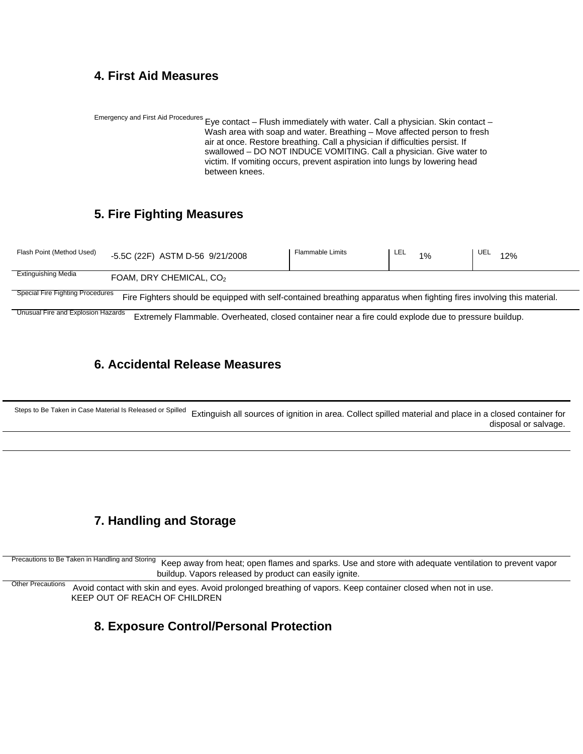#### **4. First Aid Measures**

Emergency and First Aid Procedures Eye contact – Flush immediately with water. Call a physician. Skin contact – Wash area with soap and water. Breathing – Move affected person to fresh air at once. Restore breathing. Call a physician if difficulties persist. If swallowed – DO NOT INDUCE VOMITING. Call a physician. Give water to victim. If vomiting occurs, prevent aspiration into lungs by lowering head between knees.

### **5. Fire Fighting Measures**

| Flash Point (Method Used)        | -5.5C (22F) ASTM D-56 9/21/2008                                                                                       | <b>Flammable Limits</b> | LEL<br>1% | UEL<br>12% |
|----------------------------------|-----------------------------------------------------------------------------------------------------------------------|-------------------------|-----------|------------|
| Extinguishing Media              | FOAM, DRY CHEMICAL, CO <sub>2</sub>                                                                                   |                         |           |            |
| Special Fire Fighting Procedures | Fire Fighters should be equipped with self-contained breathing apparatus when fighting fires involving this material. |                         |           |            |

Unusual Fire and Explosion Hazards Extremely Flammable. Overheated, closed container near a fire could explode due to pressure buildup.

#### **6. Accidental Release Measures**

Steps to Be Taken in Case Material Is Released or Spilled Extinguish all sources of ignition in area. Collect spilled material and place in a closed container for disposal or salvage.

## **7. Handling and Storage**

Precautions to Be Taken in Handling and Storing Keep away from heat; open flames and sparks. Use and store with adequate ventilation to prevent vapor buildup. Vapors released by product can easily ignite.

 Other Precautions Avoid contact with skin and eyes. Avoid prolonged breathing of vapors. Keep container closed when not in use. KEEP OUT OF REACH OF CHILDREN

#### **8. Exposure Control/Personal Protection**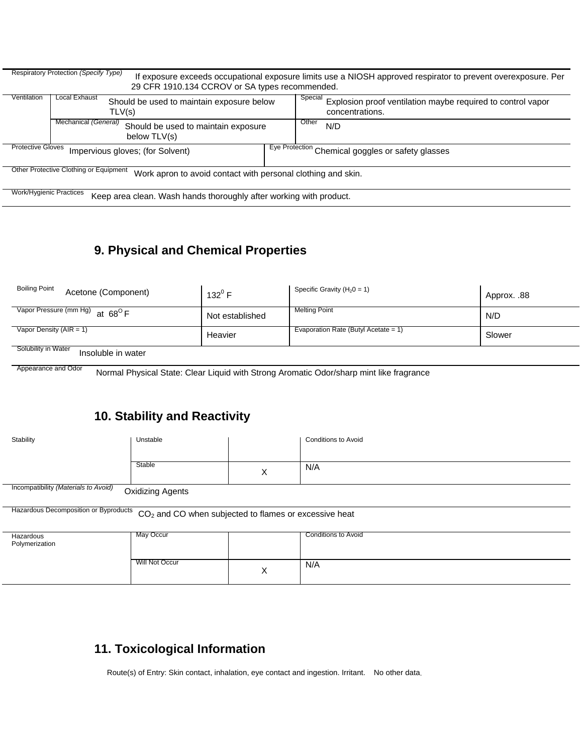|                          | Respiratory Protection (Specify Type)                                                                  | If exposure exceeds occupational exposure limits use a NIOSH approved respirator to prevent overexposure. Per |
|--------------------------|--------------------------------------------------------------------------------------------------------|---------------------------------------------------------------------------------------------------------------|
|                          | 29 CFR 1910.134 CCROV or SA types recommended.                                                         |                                                                                                               |
| Ventilation              | Local Exhaust<br>Should be used to maintain exposure below<br>TLV(s)                                   | Special<br>Explosion proof ventilation maybe required to control vapor<br>concentrations.                     |
|                          | Mechanical (General)<br>Should be used to maintain exposure<br>below TLV(s)                            | Other<br>N/D                                                                                                  |
| <b>Protective Gloves</b> | Impervious gloves; (for Solvent)                                                                       | Eye Protection Chemical goggles or safety glasses                                                             |
|                          | Other Protective Clothing or Equipment<br>Work apron to avoid contact with personal clothing and skin. |                                                                                                               |
| Work/Hygienic Practices  | Keep area clean. Wash hands thoroughly after working with product.                                     |                                                                                                               |

## **9. Physical and Chemical Properties**

| <b>Boiling Point</b><br>Acetone (Component)                                                                                                                                                                                                                                                                        | $132^{\circ}$ F | Specific Gravity ( $H_2$ 0 = 1)      | Approx. .88 |
|--------------------------------------------------------------------------------------------------------------------------------------------------------------------------------------------------------------------------------------------------------------------------------------------------------------------|-----------------|--------------------------------------|-------------|
| $\sqrt{2}$ $\sqrt{2}$ $\sqrt{2}$ $\sqrt{2}$ $\sqrt{2}$ $\sqrt{2}$ $\sqrt{2}$ $\sqrt{2}$ $\sqrt{2}$ $\sqrt{2}$ $\sqrt{2}$ $\sqrt{2}$ $\sqrt{2}$ $\sqrt{2}$ $\sqrt{2}$ $\sqrt{2}$ $\sqrt{2}$ $\sqrt{2}$ $\sqrt{2}$ $\sqrt{2}$ $\sqrt{2}$ $\sqrt{2}$ $\sqrt{2}$ $\sqrt{2}$ $\sqrt{2}$ $\sqrt{2}$ $\sqrt{2}$ $\sqrt{2$ | Not established | Melting Point                        | N/D         |
| Vapor Density $(AIR = 1)$                                                                                                                                                                                                                                                                                          | Heavier         | Evaporation Rate (Butyl Acetate = 1) | Slower      |
| Solubility in Water<br>Innalubla in water                                                                                                                                                                                                                                                                          |                 |                                      |             |

Insoluble in water

Ξ

Appearance and Odor Normal Physical State: Clear Liquid with Strong Aromatic Odor/sharp mint like fragrance

## **10. Stability and Reactivity**

| Stability                            | Unstable                |   | <b>Conditions to Avoid</b> |
|--------------------------------------|-------------------------|---|----------------------------|
|                                      | Stable                  | X | N/A                        |
| Incompatibility (Materials to Avoid) | <b>Oxidizing Agents</b> |   |                            |

Hazardous Decomposition or Byproducts CO<sub>2</sub> and CO when subjected to flames or excessive heat

| Hazardous<br>Polymerization | May Occur      |                           | Conditions to Avoid |
|-----------------------------|----------------|---------------------------|---------------------|
|                             | Will Not Occur | $\checkmark$<br>$\lambda$ | N/A                 |

## **11. Toxicological Information**

Route(s) of Entry: Skin contact, inhalation, eye contact and ingestion. Irritant. No other data.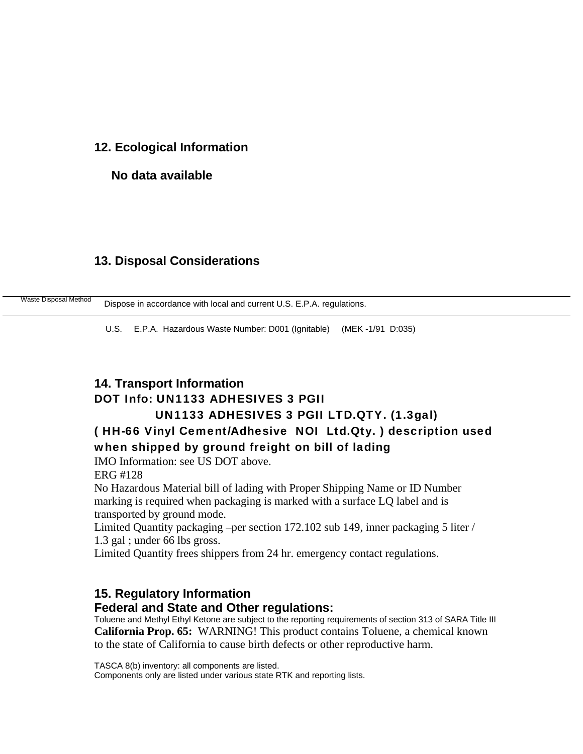#### **12. Ecological Information**

#### **No data available**

#### **13. Disposal Considerations**

|  | Waste Disposal Method | Dispose in accordance with local and current U.S. E.P.A. regulations. |
|--|-----------------------|-----------------------------------------------------------------------|
|--|-----------------------|-----------------------------------------------------------------------|

U.S. E.P.A. Hazardous Waste Number: D001 (Ignitable) (MEK -1/91 D:035)

## **14. Transport Information**  DOT Info: UN1133 ADHESIVES 3 PGII

### UN1133 ADHESIVES 3 PGII LTD.QTY. (1.3gal)

## ( HH-66 Vinyl Cement/Adhesive NOI Ltd.Qty. ) description used when shipped by ground freight on bill of lading

IMO Information: see US DOT above.

ERG #128

No Hazardous Material bill of lading with Proper Shipping Name or ID Number marking is required when packaging is marked with a surface LQ label and is transported by ground mode.

Limited Quantity packaging –per section 172.102 sub 149, inner packaging 5 liter / 1.3 gal ; under 66 lbs gross.

Limited Quantity frees shippers from 24 hr. emergency contact regulations.

## **15. Regulatory Information**

#### **Federal and State and Other regulations:**

Toluene and Methyl Ethyl Ketone are subject to the reporting requirements of section 313 of SARA Title III **California Prop. 65:** WARNING! This product contains Toluene, a chemical known to the state of California to cause birth defects or other reproductive harm.

TASCA 8(b) inventory: all components are listed.

Components only are listed under various state RTK and reporting lists.